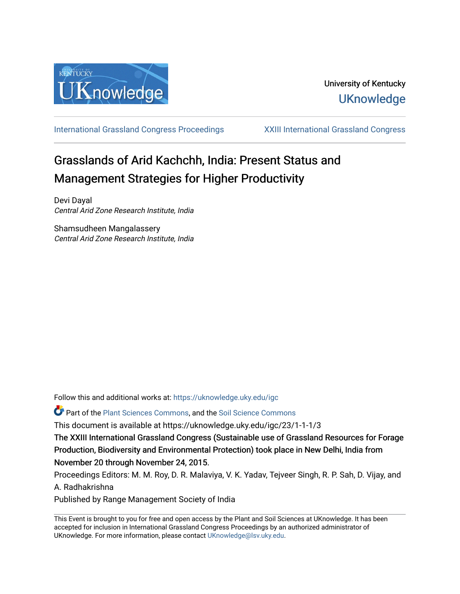

[International Grassland Congress Proceedings](https://uknowledge.uky.edu/igc) [XXIII International Grassland Congress](https://uknowledge.uky.edu/igc/23) 

# Grasslands of Arid Kachchh, India: Present Status and Management Strategies for Higher Productivity

Devi Dayal Central Arid Zone Research Institute, India

Shamsudheen Mangalassery Central Arid Zone Research Institute, India

Follow this and additional works at: [https://uknowledge.uky.edu/igc](https://uknowledge.uky.edu/igc?utm_source=uknowledge.uky.edu%2Figc%2F23%2F1-1-1%2F3&utm_medium=PDF&utm_campaign=PDFCoverPages) 

Part of the [Plant Sciences Commons](http://network.bepress.com/hgg/discipline/102?utm_source=uknowledge.uky.edu%2Figc%2F23%2F1-1-1%2F3&utm_medium=PDF&utm_campaign=PDFCoverPages), and the [Soil Science Commons](http://network.bepress.com/hgg/discipline/163?utm_source=uknowledge.uky.edu%2Figc%2F23%2F1-1-1%2F3&utm_medium=PDF&utm_campaign=PDFCoverPages) 

This document is available at https://uknowledge.uky.edu/igc/23/1-1-1/3

The XXIII International Grassland Congress (Sustainable use of Grassland Resources for Forage Production, Biodiversity and Environmental Protection) took place in New Delhi, India from November 20 through November 24, 2015.

Proceedings Editors: M. M. Roy, D. R. Malaviya, V. K. Yadav, Tejveer Singh, R. P. Sah, D. Vijay, and A. Radhakrishna

Published by Range Management Society of India

This Event is brought to you for free and open access by the Plant and Soil Sciences at UKnowledge. It has been accepted for inclusion in International Grassland Congress Proceedings by an authorized administrator of UKnowledge. For more information, please contact [UKnowledge@lsv.uky.edu](mailto:UKnowledge@lsv.uky.edu).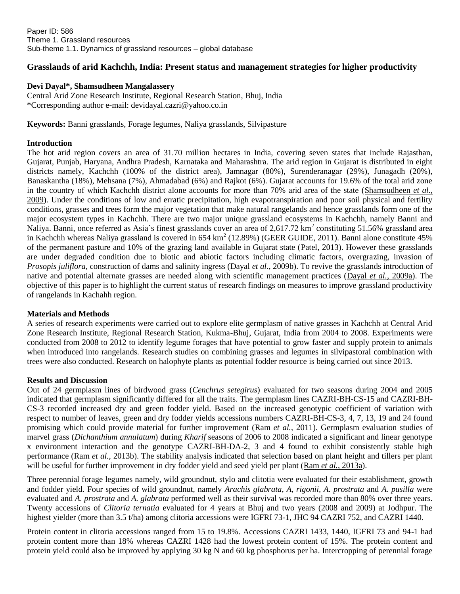# **Grasslands of arid Kachchh, India: Present status and management strategies for higher productivity**

## **Devi Dayal\*, Shamsudheen Mangalassery**

Central Arid Zone Research Institute, Regional Research Station, Bhuj, India \*Corresponding author e-mail: devidayal.cazri@yahoo.co.in

**Keywords:** Banni grasslands, Forage legumes, Naliya grasslands, Silvipasture

## **Introduction**

The hot arid region covers an area of 31.70 million hectares in India, covering seven states that include Rajasthan, Gujarat, Punjab, Haryana, Andhra Pradesh, Karnataka and Maharashtra. The arid region in Gujarat is distributed in eight districts namely, Kachchh (100% of the district area), Jamnagar (80%), Surenderanagar (29%), Junagadh (20%), Banaskantha (18%), Mehsana (7%), Ahmadabad (6%) and Rajkot (6%). Gujarat accounts for 19.6% of the total arid zone in the country of which Kachchh district alone accounts for more than 70% arid area of the state [\(Shamsudheen](#page-1-0) *et al.*, [2009\)](#page-1-0). Under the conditions of low and erratic precipitation, high evapotranspiration and poor soil physical and fertility conditions, grasses and trees form the major vegetation that make natural rangelands and hence grasslands form one of the major ecosystem types in Kachchh. There are two major unique grassland ecosystems in Kachchh, namely Banni and Naliya. Banni, once referred as Asia's finest grasslands cover an area of 2,617.72  $\text{km}^2$  constituting 51.56% grassland area in Kachchh whereas Naliya grassland is covered in 654 km<sup>2</sup> (12.89%) [\(GEER GUIDE, 2011\)](file:///I:\OLD%20FILES%20CAZRI\Shamsu\Symp,Winter,Trg\16.%20Indian%20grassland%20congress\grasslands%20of%20Kachchh.doc%23_ENREF_3). Banni alone constitute 45% of the permanent pasture and 10% of the grazing land available in Gujarat state [\(Patel, 2013\)](file:///I:\OLD%20FILES%20CAZRI\Shamsu\Symp,Winter,Trg\16.%20Indian%20grassland%20congress\grasslands%20of%20Kachchh.doc%23_ENREF_4). However these grasslands are under degraded condition due to biotic and abiotic factors including climatic factors, overgrazing, invasion of *Prosopis juliflora*, construction of dams and salinity ingress (Dayal *et al.*[, 2009b\)](file:///I:\OLD%20FILES%20CAZRI\Shamsu\Symp,Winter,Trg\16.%20Indian%20grassland%20congress\grasslands%20of%20Kachchh.doc%23_ENREF_2). To revive the grasslands introduction of native and potential alternate grasses are needed along with scientific management practices (Dayal *et al.*[, 2009a\)](file:///I:\OLD%20FILES%20CAZRI\Shamsu\Symp,Winter,Trg\16.%20Indian%20grassland%20congress\grasslands%20of%20Kachchh.doc%23_ENREF_1). The objective of this paper is to highlight the current status of research findings on measures to improve grassland productivity of rangelands in Kachahh region.

#### **Materials and Methods**

A series of research experiments were carried out to explore elite germplasm of native grasses in Kachchh at Central Arid Zone Research Institute, Regional Research Station, Kukma-Bhuj, Gujarat, India from 2004 to 2008. Experiments were conducted from 2008 to 2012 to identify legume forages that have potential to grow faster and supply protein to animals when introduced into rangelands. Research studies on combining grasses and legumes in silvipastoral combination with trees were also conducted. Research on halophyte plants as potential fodder resource is being carried out since 2013.

#### **Results and Discussion**

Out of 24 germplasm lines of birdwood grass (*Cenchrus setegirus*) evaluated for two seasons during 2004 and 2005 indicated that germplasm significantly differed for all the traits. The germplasm lines CAZRI-BH-CS-15 and CAZRI-BH-CS-3 recorded increased dry and green fodder yield. Based on the increased genotypic coefficient of variation with respect to number of leaves, green and dry fodder yields accessions numbers CAZRI-BH-CS-3, 4, 7, 13, 19 and 24 found promising which could provide material for further improvement (Ram *et al.*[, 2011\)](#page-1-1). Germplasm evaluation studies of marvel grass (*Dichanthium annulatum*) during *Kharif* seasons of 2006 to 2008 indicated a significant and linear genotype x environment interaction and the genotype CAZRI-BH-DA-2, 3 and 4 found to exhibit consistently stable high performance (Ram *et al.*[, 2013b\)](file:///I:\OLD%20FILES%20CAZRI\Shamsu\Symp,Winter,Trg\16.%20Indian%20grassland%20congress\grasslands%20of%20Kachchh.doc%23_ENREF_7). The stability analysis indicated that selection based on plant height and tillers per plant will be useful for further improvement in dry fodder yield and seed yield per plant (Ram *et al.*[, 2013a\)](file:///I:\OLD%20FILES%20CAZRI\Shamsu\Symp,Winter,Trg\16.%20Indian%20grassland%20congress\grasslands%20of%20Kachchh.doc%23_ENREF_5).

<span id="page-1-1"></span>Three perennial forage legumes namely, wild groundnut, stylo and clitotia were evaluated for their establishment, growth and fodder yield. Four species of wild groundnut, namely *Arachis glabrata*, *A, rigonii, A. prostrata* and *A. pusilla* were evaluated and *A. prostrata* and *A. glabrata* performed well as their survival was recorded more than 80% over three years. Twenty accessions of *Clitoria ternatia* evaluated for 4 years at Bhuj and two years (2008 and 2009) at Jodhpur. The highest yielder (more than 3.5 t/ha) among clitoria accessions were IGFRI 73-1, JHC 94 CAZRI 752, and CAZRI 1440.

<span id="page-1-0"></span>Protein content in clitoria accessions ranged from 15 to 19.8%. Accessions CAZRI 1433, 1440, IGFRI 73 and 94-1 had protein content more than 18% whereas CAZRI 1428 had the lowest protein content of 15%. The protein content and protein yield could also be improved by applying 30 kg N and 60 kg phosphorus per ha. Intercropping of perennial forage